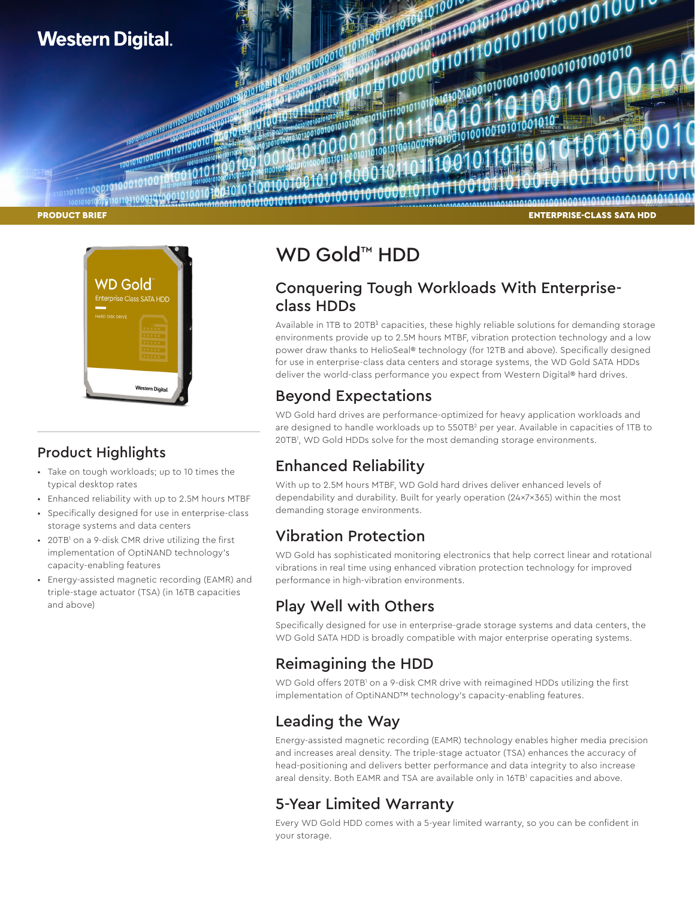



## Product Highlights

- Take on tough workloads; up to 10 times the typical desktop rates
- Enhanced reliability with up to 2.5M hours MTBF
- Specifically designed for use in enterprise-class storage systems and data centers
- 20TB<sup>1</sup> on a 9-disk CMR drive utilizing the first implementation of OptiNAND technology's capacity-enabling features
- Energy-assisted magnetic recording (EAMR) and triple-stage actuator (TSA) (in 16TB capacities and above)

# WD Gold<sup>™</sup> HDD

## Conquering Tough Workloads With Enterpriseclass HDDs

Available in 1TB to 20TB<sup>1</sup> capacities, these highly reliable solutions for demanding storage environments provide up to 2.5M hours MTBF, vibration protection technology and a low power draw thanks to HelioSeal® technology (for 12TB and above). Specifically designed for use in enterprise-class data centers and storage systems, the WD Gold SATA HDDs deliver the world-class performance you expect from Western Digital® hard drives.

## Beyond Expectations

WD Gold hard drives are performance-optimized for heavy application workloads and are designed to handle workloads up to 550TB<sup>2</sup> per year. Available in capacities of 1TB to 20TB1 , WD Gold HDDs solve for the most demanding storage environments.

## Enhanced Reliability

With up to 2.5M hours MTBF, WD Gold hard drives deliver enhanced levels of dependability and durability. Built for yearly operation (24x7x365) within the most demanding storage environments.

## Vibration Protection

WD Gold has sophisticated monitoring electronics that help correct linear and rotational vibrations in real time using enhanced vibration protection technology for improved performance in high-vibration environments.

# Play Well with Others

Specifically designed for use in enterprise-grade storage systems and data centers, the WD Gold SATA HDD is broadly compatible with major enterprise operating systems.

# Reimagining the HDD

WD Gold offers 20TB<sup>1</sup> on a 9-disk CMR drive with reimagined HDDs utilizing the first implementation of OptiNAND™ technology's capacity-enabling features.

## Leading the Way

Energy-assisted magnetic recording (EAMR) technology enables higher media precision and increases areal density. The triple-stage actuator (TSA) enhances the accuracy of head-positioning and delivers better performance and data integrity to also increase areal density. Both EAMR and TSA are available only in 16TB' capacities and above.

## 5-Year Limited Warranty

Every WD Gold HDD comes with a 5-year limited warranty, so you can be confident in your storage.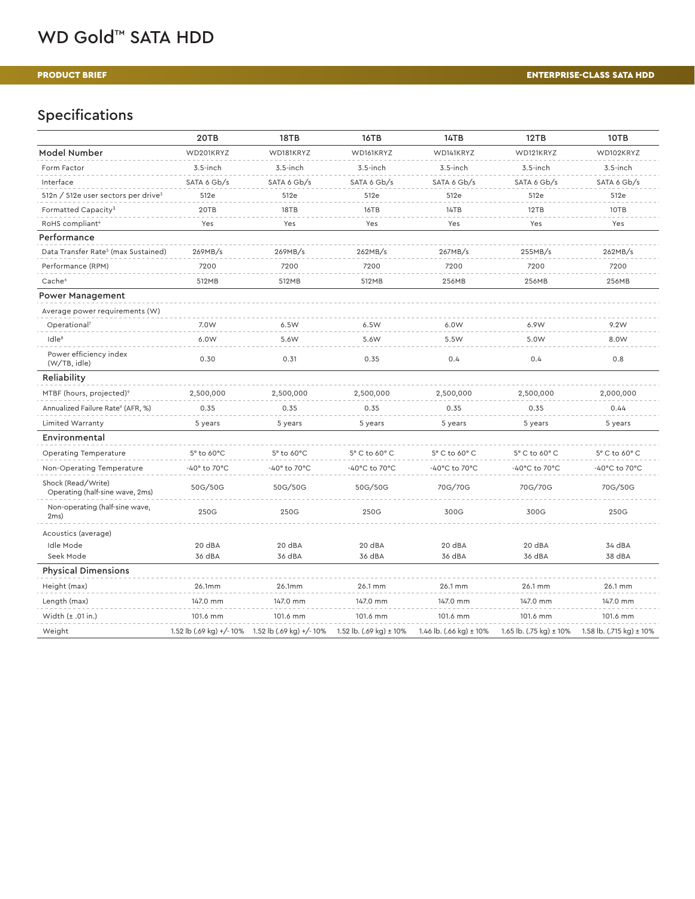# WD Gold™ SATA HDD

### PRODUCT BRIEF

### ENTERPRISE-CLASS SATA HDD

# Specifications

|                                                       | 20TB         | 18TB                                              | 16TB                                 | 14TB                        | 12TB                    | 10TB                                  |
|-------------------------------------------------------|--------------|---------------------------------------------------|--------------------------------------|-----------------------------|-------------------------|---------------------------------------|
| Model Number                                          | WD201KRYZ    | WD181KRYZ                                         | WD161KRYZ                            | WD141KRYZ                   | WD121KRYZ               | WD102KRYZ                             |
| Form Factor                                           | $3.5$ -inch  | $3.5$ -inch                                       | $3.5$ -inch                          | $3.5$ -inch                 | $3.5$ -inch             | $3.5$ -inch                           |
| Interface                                             | SATA 6 Gb/s  | SATA 6 Gb/s                                       | SATA 6 Gb/s                          | SATA 6 Gb/s                 | SATA 6 Gb/s             | SATA 6 Gb/s                           |
| 512n / 512e user sectors per drive <sup>3</sup>       | 512e         | 512e                                              | 512e                                 | 512e                        | 512e                    | 512e                                  |
| Formatted Capacity <sup>1</sup>                       | 20TB         | 18TB                                              | 16TB                                 | 14TB                        | 12TB                    | 10TB                                  |
| RoHS compliant <sup>4</sup>                           | Yes          | Yes                                               | Yes                                  | Yes                         | Yes                     | Yes                                   |
| Performance                                           |              |                                                   |                                      |                             |                         |                                       |
| Data Transfer Rate <sup>5</sup> (max Sustained)       | 269MB/s      | 269MB/s                                           | 262MB/s                              | 267MB/s                     | 255MB/s                 | 262MB/s                               |
| Performance (RPM)                                     | 7200         | 7200                                              | 7200                                 | 7200                        | 7200                    | 7200                                  |
| Cache <sup>6</sup>                                    | 512MB        | 512MB                                             | 512MB                                | 256MB                       | 256MB                   | 256MB                                 |
| <b>Power Management</b>                               |              |                                                   |                                      |                             |                         |                                       |
| Average power requirements (W)                        |              |                                                   |                                      |                             |                         |                                       |
| Operational <sup>7</sup>                              | 7.0W         | 6.5W                                              | 6.5W                                 | 6.0W                        | 6.9W                    | 9.2W                                  |
| Idle <sup>8</sup>                                     | 6.0W         | 5.6W                                              | 5.6W                                 | 5.5W                        | 5.0W                    | 8.0W                                  |
| Power efficiency index<br>(W/TB, idle)                | 0.30         | 0.31                                              | 0.35                                 | 0.4                         | 0.4                     | 0.8                                   |
| Reliability                                           |              |                                                   |                                      |                             |                         |                                       |
| MTBF (hours, projected) <sup>9</sup>                  | 2,500,000    | 2,500,000                                         | 2,500,000                            | 2,500,000                   | 2,500,000               | 2,000,000                             |
| Annualized Failure Rate <sup>9</sup> (AFR, %)         | 0.35         | 0.35                                              | 0.35                                 | 0.35                        | 0.35                    | 0.44                                  |
| Limited Warranty                                      | 5 years      | 5 years                                           | 5 years                              | 5 years                     | 5 years                 | 5 years                               |
| Environmental                                         |              |                                                   |                                      |                             |                         |                                       |
| Operating Temperature                                 | 5° to 60°C   | 5° to 60°C                                        | 5° C to 60° C                        | 5° C to 60° C               | 5° C to 60° C           | 5° C to 60° C                         |
| Non-Operating Temperature                             | -40° to 70°C | -40° to 70°C                                      | -40°C to 70°C                        | -40°C to 70°C               | -40°C to 70°C           | -40°C to 70°C                         |
| Shock (Read/Write)<br>Operating (half-sine wave, 2ms) | 50G/50G      | 50G/50G                                           | 50G/50G                              | 70G/70G                     | 70G/70G                 | 70G/50G                               |
| Non-operating (half-sine wave,<br>2ms                 | 250G         | 250G                                              | 250G                                 | 300G                        | 300G                    | 250G                                  |
| Acoustics (average)                                   |              |                                                   |                                      |                             |                         |                                       |
| Idle Mode                                             | 20 dBA       | 20 dBA                                            | 20 dBA                               | 20 dBA                      | 20 dBA                  | 34 dBA                                |
| Seek Mode                                             | 36 dBA       | 36 dBA                                            | 36 dBA                               | 36 dBA                      | 36 dBA                  | 38 dBA                                |
| <b>Physical Dimensions</b>                            |              |                                                   |                                      |                             |                         |                                       |
| Height (max)                                          | 26.1mm       | 26.1mm                                            | 26.1 mm                              | 26.1 mm                     | 26.1 mm                 | 26.1 mm                               |
| Length (max)                                          | 147.0 mm     | 147.0 mm                                          | 147.0 mm                             | 147.0 mm                    | 147.0 mm                | 147.0 mm                              |
| Width $(\pm .01$ in.)                                 | 101.6 mm     | 101.6 mm                                          | 101.6 mm                             | 101.6 mm                    | 101.6 mm                | 101.6 mm                              |
| Weight                                                |              | 1.52 lb (.69 kg) +/- 10% 1.52 lb (.69 kg) +/- 10% | 1.52 lb. $(.69 \text{ kg}) \pm 10\%$ | 1.46 lb. (.66 kg) $\pm$ 10% | 1.65 lb. (.75 kg) ± 10% | 1.58 lb. $(.715 \text{ kg}) \pm 10\%$ |